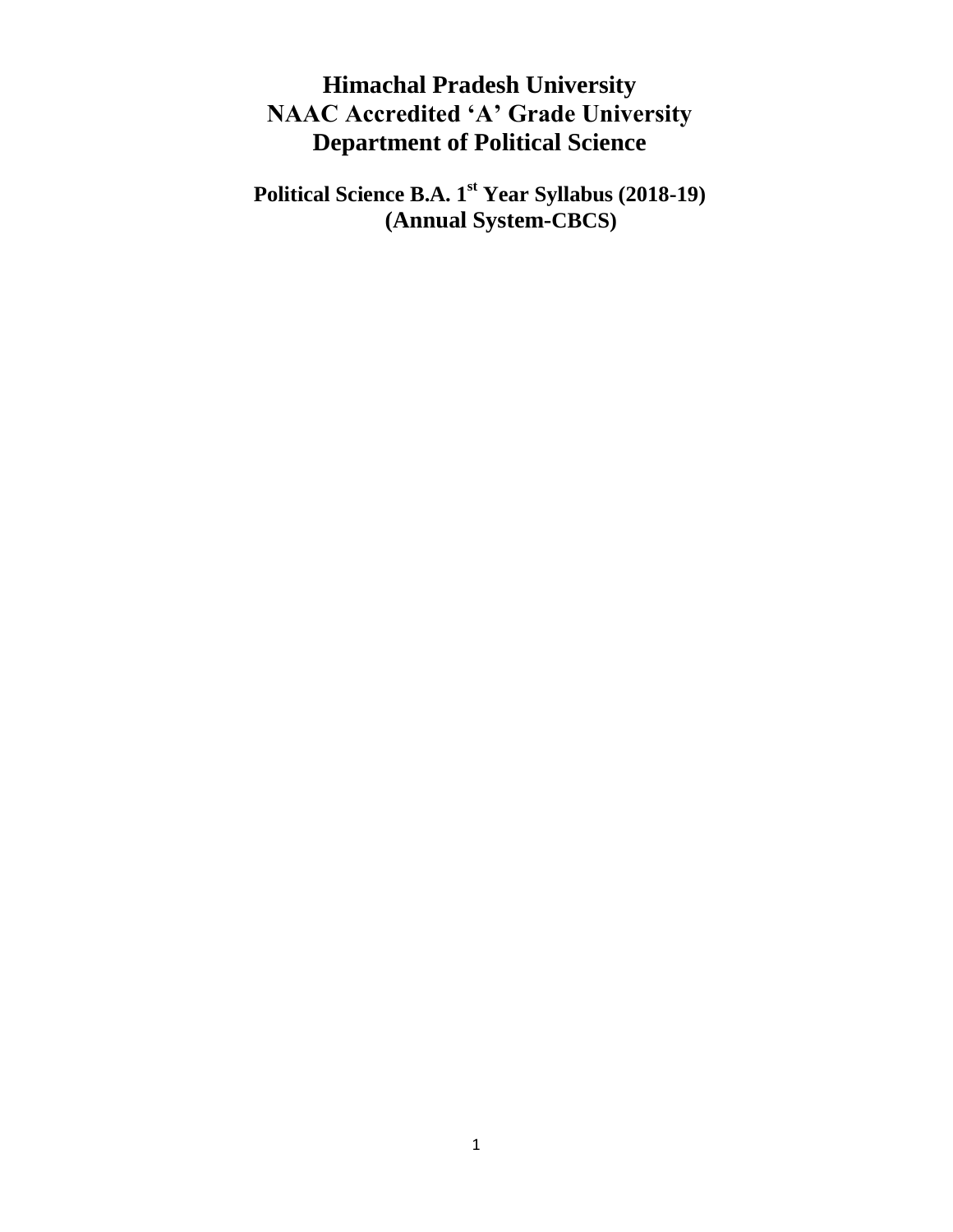# **Himachal Pradesh University NAAC Accredited 'A' Grade University Department of Political Science**

**Political Science B.A. 1st Year Syllabus (2018-19) (Annual System-CBCS)**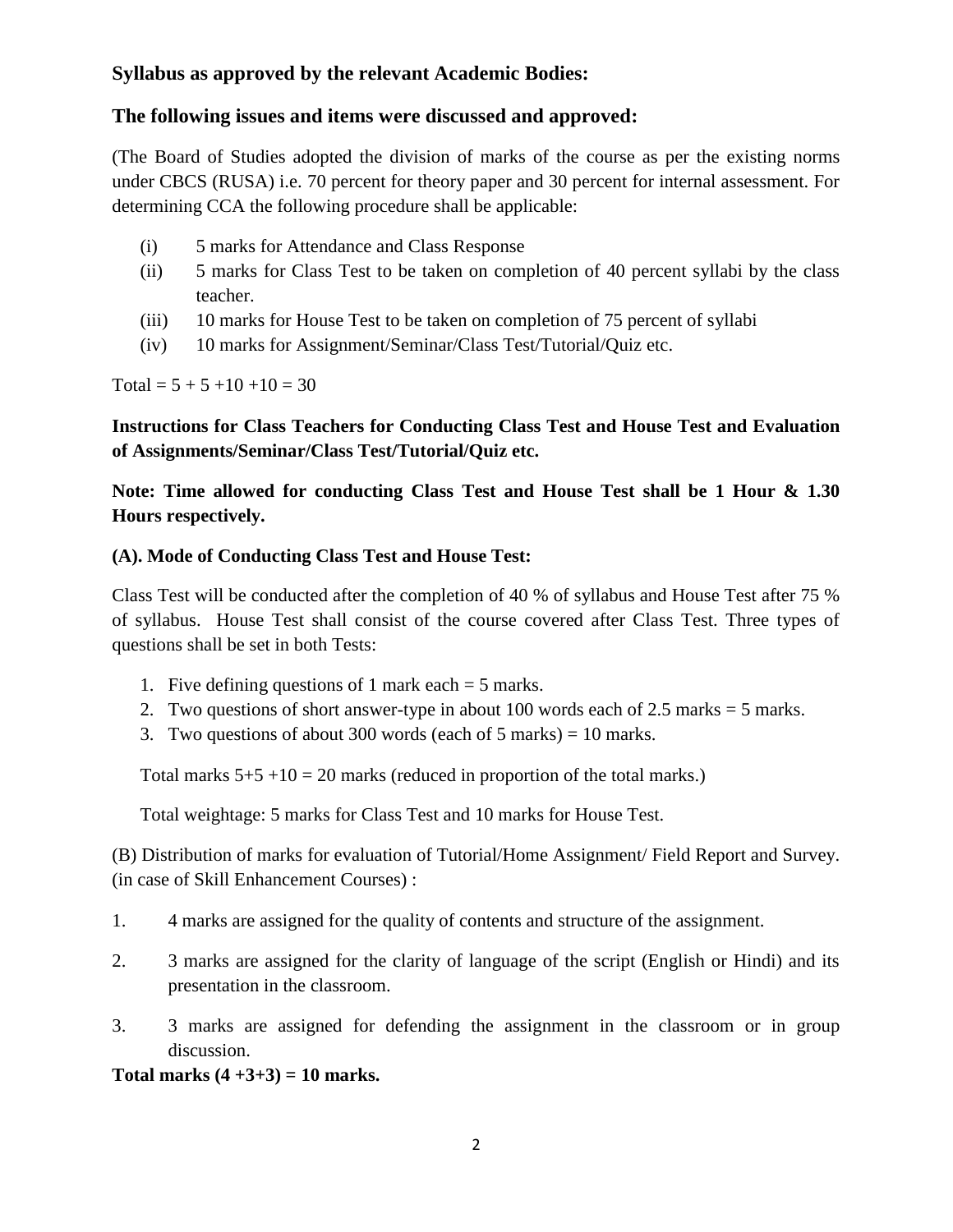# **Syllabus as approved by the relevant Academic Bodies:**

# **The following issues and items were discussed and approved:**

(The Board of Studies adopted the division of marks of the course as per the existing norms under CBCS (RUSA) i.e. 70 percent for theory paper and 30 percent for internal assessment. For determining CCA the following procedure shall be applicable:

- (i) 5 marks for Attendance and Class Response
- (ii) 5 marks for Class Test to be taken on completion of 40 percent syllabi by the class teacher.
- (iii) 10 marks for House Test to be taken on completion of 75 percent of syllabi
- (iv) 10 marks for Assignment/Seminar/Class Test/Tutorial/Quiz etc.

Total =  $5 + 5 +10 +10 = 30$ 

**Instructions for Class Teachers for Conducting Class Test and House Test and Evaluation of Assignments/Seminar/Class Test/Tutorial/Quiz etc.**

**Note: Time allowed for conducting Class Test and House Test shall be 1 Hour & 1.30 Hours respectively.**

# **(A). Mode of Conducting Class Test and House Test:**

Class Test will be conducted after the completion of 40 % of syllabus and House Test after 75 % of syllabus. House Test shall consist of the course covered after Class Test. Three types of questions shall be set in both Tests:

- 1. Five defining questions of 1 mark each  $=$  5 marks.
- 2. Two questions of short answer-type in about  $100$  words each of  $2.5$  marks  $= 5$  marks.
- 3. Two questions of about 300 words (each of 5 marks) = 10 marks.

Total marks  $5+5+10=20$  marks (reduced in proportion of the total marks.)

Total weightage: 5 marks for Class Test and 10 marks for House Test.

(B) Distribution of marks for evaluation of Tutorial/Home Assignment/ Field Report and Survey. (in case of Skill Enhancement Courses) :

- 1. 4 marks are assigned for the quality of contents and structure of the assignment.
- 2. 3 marks are assigned for the clarity of language of the script (English or Hindi) and its presentation in the classroom.
- 3. 3 marks are assigned for defending the assignment in the classroom or in group discussion.

**Total marks (4 +3+3) = 10 marks.**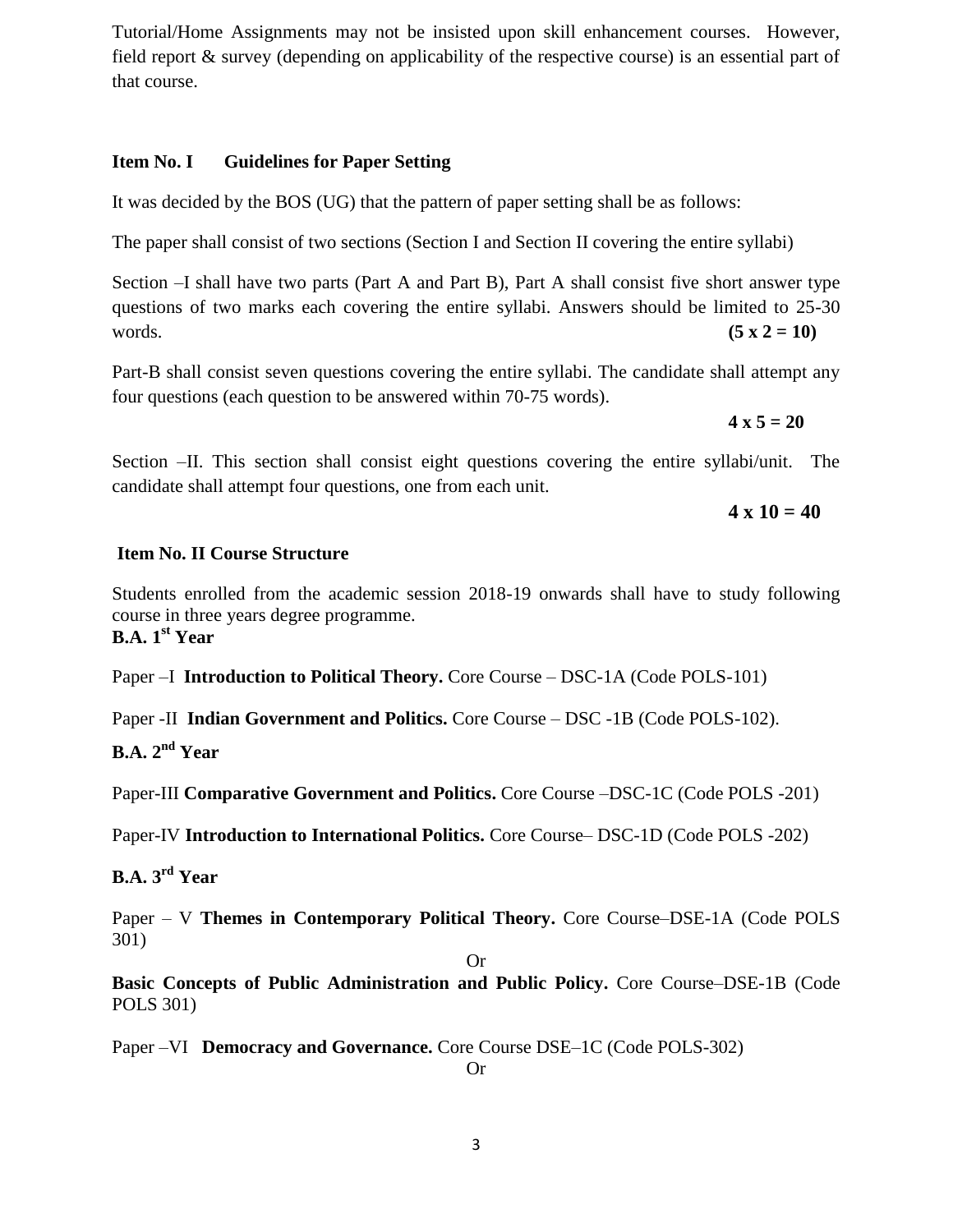Tutorial/Home Assignments may not be insisted upon skill enhancement courses. However, field report & survey (depending on applicability of the respective course) is an essential part of that course.

# **Item No. I Guidelines for Paper Setting**

It was decided by the BOS (UG) that the pattern of paper setting shall be as follows:

The paper shall consist of two sections (Section I and Section II covering the entire syllabi)

Section –I shall have two parts (Part A and Part B), Part A shall consist five short answer type questions of two marks each covering the entire syllabi. Answers should be limited to 25-30 words. **(5 x 2 = 10)** 

Part-B shall consist seven questions covering the entire syllabi. The candidate shall attempt any four questions (each question to be answered within 70-75 words).

 $4 \times 5 = 20$ 

Section –II. This section shall consist eight questions covering the entire syllabi/unit. The candidate shall attempt four questions, one from each unit.

 $4 \times 10 = 40$ 

### **Item No. II Course Structure**

Students enrolled from the academic session 2018-19 onwards shall have to study following course in three years degree programme. **B.A. 1st Year** 

Paper –I **Introduction to Political Theory.** Core Course – DSC-1A (Code POLS-101)

Paper -II **Indian Government and Politics.** Core Course – DSC -1B (Code POLS-102).

**B.A. 2nd Year** 

Paper-III **Comparative Government and Politics.** Core Course –DSC-1C (Code POLS -201)

Paper-IV **Introduction to International Politics.** Core Course– DSC-1D (Code POLS -202)

**B.A. 3rd Year** 

Paper – V **Themes in Contemporary Political Theory.** Core Course–DSE-1A (Code POLS 301)

Or

**Basic Concepts of Public Administration and Public Policy.** Core Course–DSE-1B (Code POLS 301)

Paper –VI **Democracy and Governance.** Core Course DSE–1C (Code POLS-302)

Or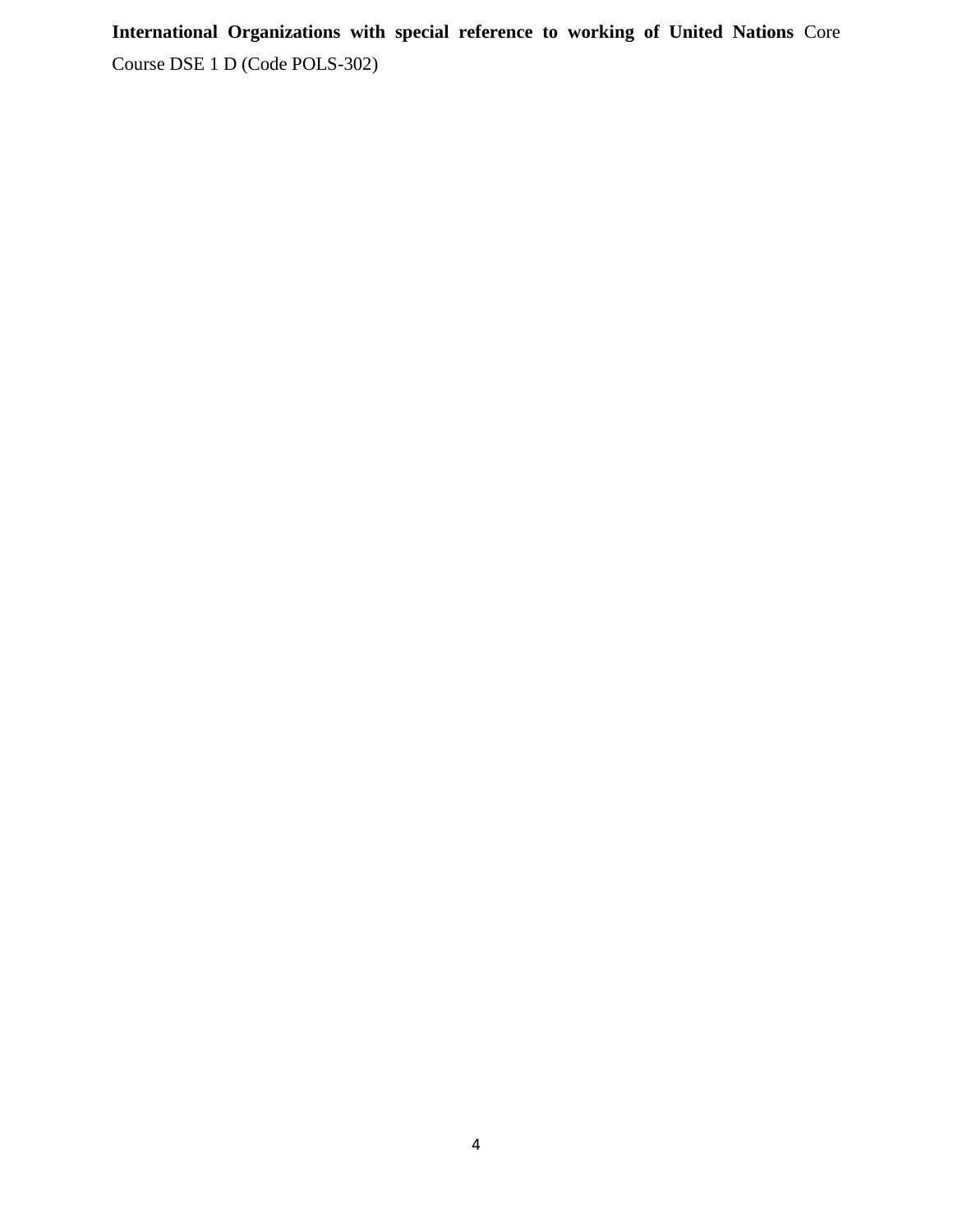**International Organizations with special reference to working of United Nations** Core Course DSE 1 D (Code POLS-302)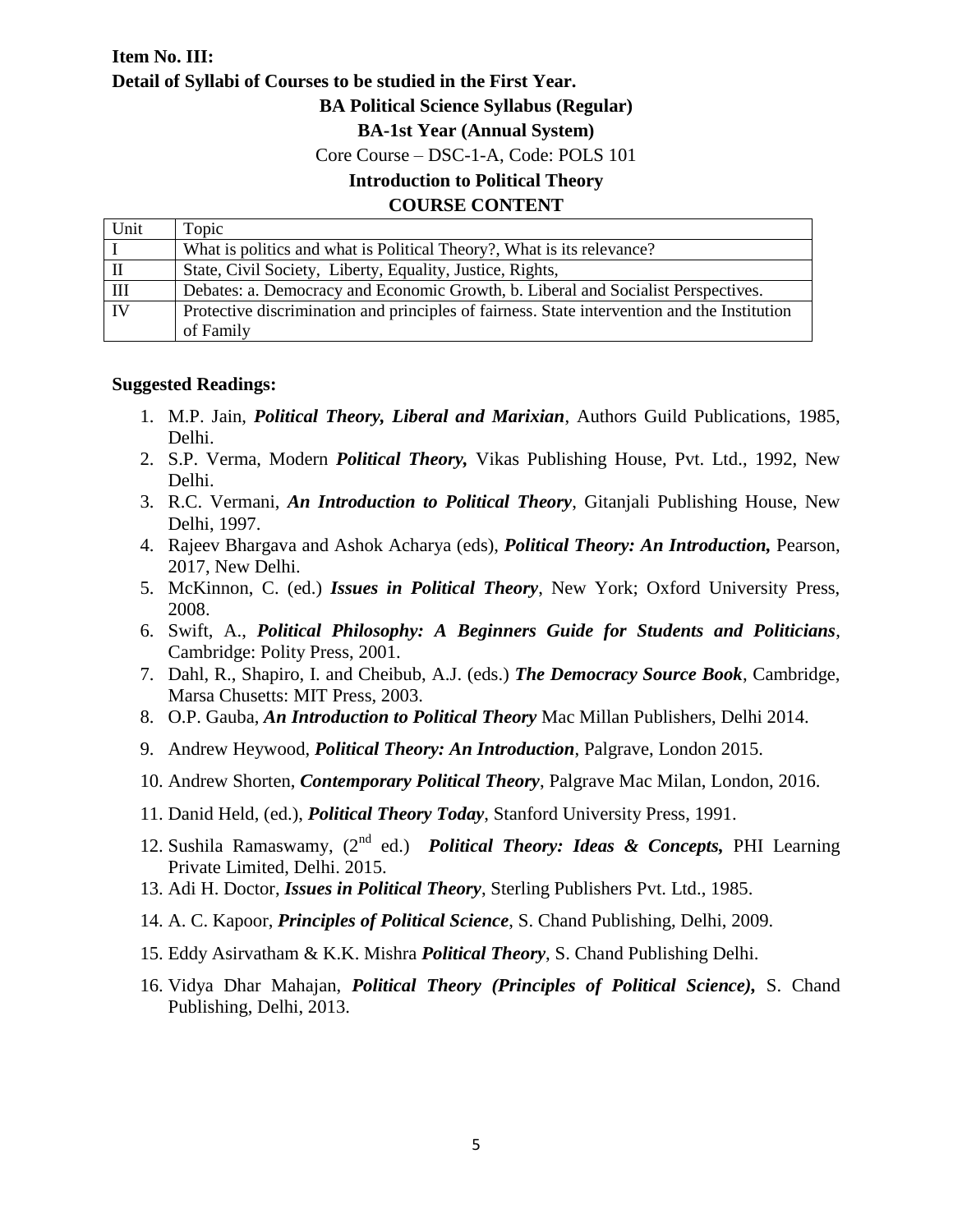# **Item No. III: Detail of Syllabi of Courses to be studied in the First Year. BA Political Science Syllabus (Regular) BA-1st Year (Annual System)** Core Course – DSC-1-A, Code: POLS 101 **Introduction to Political Theory COURSE CONTENT**  Unit Topic

| Umu             | TODIC.                                                                                       |
|-----------------|----------------------------------------------------------------------------------------------|
| ΙI              | What is politics and what is Political Theory?, What is its relevance?                       |
| IП              | State, Civil Society, Liberty, Equality, Justice, Rights,                                    |
| $\mathbf{III}$  | Debates: a. Democracy and Economic Growth, b. Liberal and Socialist Perspectives.            |
| $\overline{IV}$ | Protective discrimination and principles of fairness. State intervention and the Institution |
|                 | of Family                                                                                    |

### **Suggested Readings:**

- 1. M.P. Jain, *Political Theory, Liberal and Marixian*, Authors Guild Publications, 1985, Delhi.
- 2. S.P. Verma, Modern *Political Theory,* Vikas Publishing House, Pvt. Ltd., 1992, New Delhi.
- 3. R.C. Vermani, *An Introduction to Political Theory*, Gitanjali Publishing House, New Delhi, 1997.
- 4. Rajeev Bhargava and Ashok Acharya (eds), *Political Theory: An Introduction,* Pearson, 2017, New Delhi.
- 5. McKinnon, C. (ed.) *Issues in Political Theory*, New York; Oxford University Press, 2008.
- 6. Swift, A., *Political Philosophy: A Beginners Guide for Students and Politicians*, Cambridge: Polity Press, 2001.
- 7. Dahl, R., Shapiro, I. and Cheibub, A.J. (eds.) *The Democracy Source Book*, Cambridge, Marsa Chusetts: MIT Press, 2003.
- 8. O.P. Gauba, *An Introduction to Political Theory* Mac Millan Publishers, Delhi 2014.
- 9. Andrew Heywood, *Political Theory: An Introduction*, Palgrave, London 2015.
- 10. Andrew Shorten, *Contemporary Political Theory*, Palgrave Mac Milan, London, 2016.
- 11. Danid Held, (ed.), *Political Theory Today*, Stanford University Press, 1991.
- 12. Sushila Ramaswamy, (2nd ed.) *Political Theory: Ideas & Concepts,* PHI Learning Private Limited, Delhi. 2015.
- 13. Adi H. Doctor, *Issues in Political Theory*, Sterling Publishers Pvt. Ltd., 1985.
- 14. A. C. Kapoor, *Principles of Political Science*, S. Chand Publishing, Delhi, 2009.
- 15. Eddy Asirvatham & K.K. Mishra *Political Theory*, S. Chand Publishing Delhi.
- 16. Vidya Dhar Mahajan, *Political Theory (Principles of Political Science),* S. Chand Publishing, Delhi, 2013.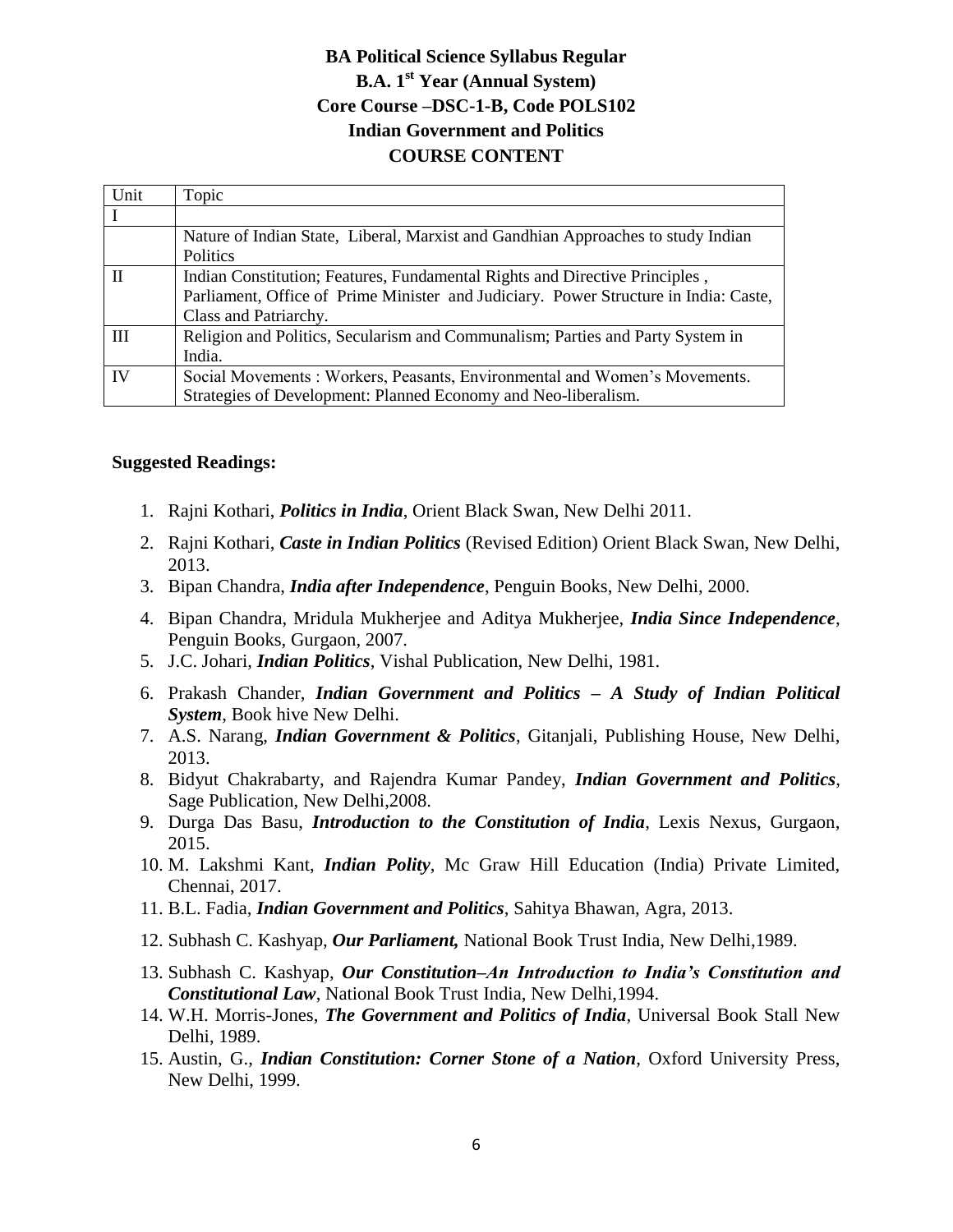# **BA Political Science Syllabus Regular B.A. 1 st Year (Annual System) Core Course –DSC-1-B, Code POLS102 Indian Government and Politics COURSE CONTENT**

| Unit         | Topic                                                                                |
|--------------|--------------------------------------------------------------------------------------|
|              |                                                                                      |
|              | Nature of Indian State, Liberal, Marxist and Gandhian Approaches to study Indian     |
|              | <b>Politics</b>                                                                      |
| $\mathbf{I}$ | Indian Constitution; Features, Fundamental Rights and Directive Principles,          |
|              | Parliament, Office of Prime Minister and Judiciary. Power Structure in India: Caste, |
|              | Class and Patriarchy.                                                                |
| Ш            | Religion and Politics, Secularism and Communalism; Parties and Party System in       |
|              | India.                                                                               |
| IV           | Social Movements : Workers, Peasants, Environmental and Women's Movements.           |
|              | Strategies of Development: Planned Economy and Neo-liberalism.                       |

### **Suggested Readings:**

- 1. Rajni Kothari, *Politics in India*, Orient Black Swan, New Delhi 2011.
- 2. Rajni Kothari, *Caste in Indian Politics* (Revised Edition) Orient Black Swan, New Delhi, 2013.
- 3. Bipan Chandra, *India after Independence*, Penguin Books, New Delhi, 2000.
- 4. Bipan Chandra, Mridula Mukherjee and Aditya Mukherjee, *India Since Independence*, Penguin Books, Gurgaon, 2007.
- 5. J.C. Johari, *Indian Politics*, Vishal Publication, New Delhi, 1981.
- 6. Prakash Chander, *Indian Government and Politics – A Study of Indian Political System*, Book hive New Delhi.
- 7. A.S. Narang, *Indian Government & Politics*, Gitanjali, Publishing House, New Delhi, 2013.
- 8. Bidyut Chakrabarty, and Rajendra Kumar Pandey, *Indian Government and Politics*, Sage Publication, New Delhi,2008.
- 9. Durga Das Basu, *Introduction to the Constitution of India*, Lexis Nexus, Gurgaon, 2015.
- 10. M. Lakshmi Kant, *Indian Polity*, Mc Graw Hill Education (India) Private Limited, Chennai, 2017.
- 11. B.L. Fadia, *Indian Government and Politics*, Sahitya Bhawan, Agra, 2013.
- 12. Subhash C. Kashyap, *Our Parliament,* National Book Trust India, New Delhi,1989.
- 13. Subhash C. Kashyap, *Our Constitution–An Introduction to India's Constitution and Constitutional Law*, National Book Trust India, New Delhi,1994.
- 14. W.H. Morris-Jones, *The Government and Politics of India*, Universal Book Stall New Delhi, 1989.
- 15. Austin, G., *Indian Constitution: Corner Stone of a Nation*, Oxford University Press, New Delhi, 1999.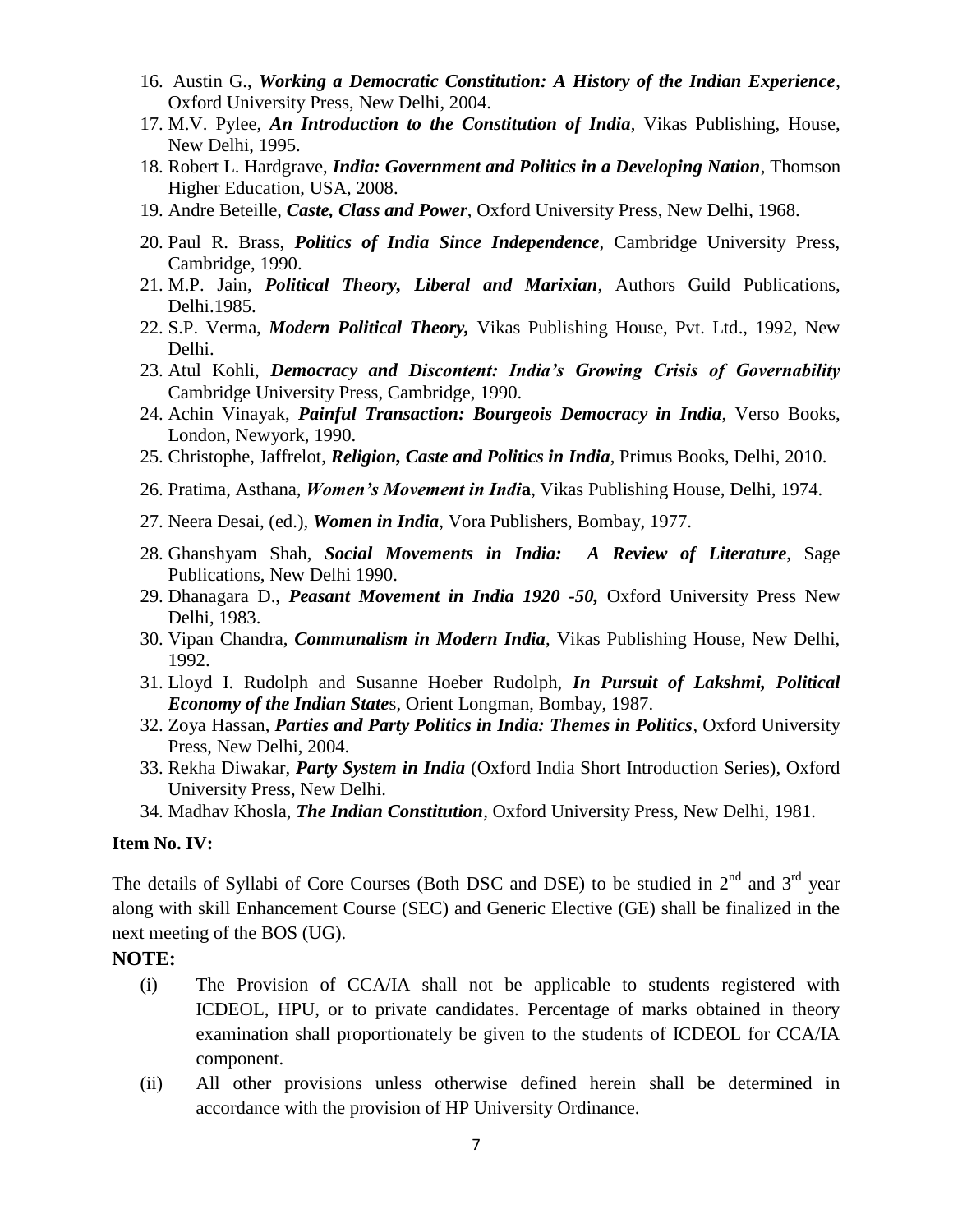- 16. Austin G., *Working a Democratic Constitution: A History of the Indian Experience*, Oxford University Press, New Delhi, 2004.
- 17. M.V. Pylee, *An Introduction to the Constitution of India*, Vikas Publishing, House, New Delhi, 1995.
- 18. Robert L. Hardgrave, *India: Government and Politics in a Developing Nation*, Thomson Higher Education, USA, 2008.
- 19. Andre Beteille, *Caste, Class and Power*, Oxford University Press, New Delhi, 1968.
- 20. Paul R. Brass, *Politics of India Since Independence*, Cambridge University Press, Cambridge, 1990.
- 21. M.P. Jain, *Political Theory, Liberal and Marixian*, Authors Guild Publications, Delhi.1985.
- 22. S.P. Verma, *Modern Political Theory,* Vikas Publishing House, Pvt. Ltd., 1992, New Delhi.
- 23. Atul Kohli, *Democracy and Discontent: India's Growing Crisis of Governability* Cambridge University Press, Cambridge, 1990.
- 24. Achin Vinayak, *Painful Transaction: Bourgeois Democracy in India*, Verso Books, London, Newyork, 1990.
- 25. Christophe, Jaffrelot, *Religion, Caste and Politics in India*, Primus Books, Delhi, 2010.
- 26. Pratima, Asthana, *Women's Movement in Indi***a**, Vikas Publishing House, Delhi, 1974.
- 27. Neera Desai, (ed.), *Women in India*, Vora Publishers, Bombay, 1977.
- 28. Ghanshyam Shah, *Social Movements in India: A Review of Literature*, Sage Publications, New Delhi 1990.
- 29. Dhanagara D., *Peasant Movement in India 1920 -50,* Oxford University Press New Delhi, 1983.
- 30. Vipan Chandra, *Communalism in Modern India*, Vikas Publishing House, New Delhi, 1992.
- 31. Lloyd I. Rudolph and Susanne Hoeber Rudolph, *In Pursuit of Lakshmi, Political Economy of the Indian State*s, Orient Longman, Bombay, 1987.
- 32. Zoya Hassan, *Parties and Party Politics in India: Themes in Politics*, Oxford University Press, New Delhi, 2004.
- 33. Rekha Diwakar, *Party System in India* (Oxford India Short Introduction Series), Oxford University Press, New Delhi.
- 34. Madhav Khosla, *The Indian Constitution*, Oxford University Press, New Delhi, 1981.

#### **Item No. IV:**

The details of Syllabi of Core Courses (Both DSC and DSE) to be studied in  $2<sup>nd</sup>$  and  $3<sup>rd</sup>$  year along with skill Enhancement Course (SEC) and Generic Elective (GE) shall be finalized in the next meeting of the BOS (UG).

### **NOTE:**

- (i) The Provision of CCA/IA shall not be applicable to students registered with ICDEOL, HPU, or to private candidates. Percentage of marks obtained in theory examination shall proportionately be given to the students of ICDEOL for CCA/IA component.
- (ii) All other provisions unless otherwise defined herein shall be determined in accordance with the provision of HP University Ordinance.